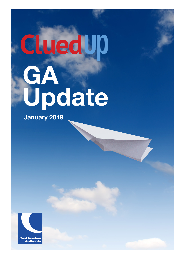# cluedup **GA Update**

**January 2019**

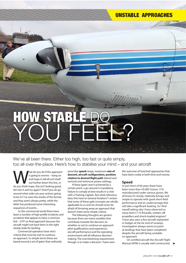### UNSTABLE APPROACHES

# **HOW STABL** YOU FEER?

We've all been there. Either too high, too fast or quite simply. too all-over-the-place. Here's how to stabilise your mind – and your aircraft

hat do you do if the approach<br>
is going to worms – hang on<br>
and hope it will all sort itself<br>
out further down the line, or<br>
do you think 'nope, this isn't looking good, is going to worms – hang on and hope it will all sort itself out further down the line, or let's bin it and try again'? And if you do go around what order are your actions going to be in? I've seen the results of the former, and they aren't always pretty, while the latter has produced some interesting sequences of events…

 In the commercial world there have been a number of high profile incidents and accidents that appear to have a common link – CFIT on final approach because the aircraft might not have been in the right steady state for landing.

 Commercial operators have strict criteria that must be met to continue an approach. In simple terms these are based around a set of 'gates' that ordinarily prescribe **speed** range, maximum **rate of descent, aircraft configuration, position relative to desired flight path** (lateral and vertical) and minimum power settings.

 If these 'gates' aren't achieved by a certain point, a go-around is mandatory. Failure to comply at best results in a chat with a Training Captain. But what relevance does this have to General Aviation? I reckon that some of these gate concepts are wholly applicable to us and we should never be afraid of throwing away an approach that doesn't meet some simple criteria.

 The following thoughts are generic because there are many variables that contribute towards the decision on whether or not to continue an approach: pilot qualifications and experience, aircraft performance and the operating environment will all influence decisionmaking. The overwhelming requirement, though, is to make a decision. I have seen the outcome of 'botched' approaches that have been costly in both time and money.

#### **Speed**

In just short of 60 years there have been more than 43,000 Cessna 172s manufactured under various guises. We all know it's sturdy, relatively benign and simple to operate with good short-field performance and an undercarriage that will take a significant beating. So I find myself asking why I have observed so many bent C172 firewalls, written-off propellers and shock-loaded engines? I have also seen a few aircraft implanted in hedges at the far end of runways. Investigation always seems to point at landings that have been completed despite the aircraft being unstable on approach.

 On certified aircraft the Aircraft Flight Manual (AFM) is usually well constructed,  $\blacktriangleright$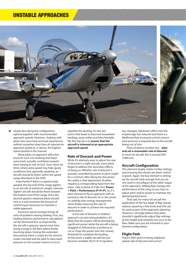## UNSTABLE APPROACHES



➤clearly describing the configuration options together with recommended approach speeds. However, chatting with pilots who have had such bad experiences, without exception they have all selected an approach speed at, or above, the highest speed quoted in the manual.

 Many pilots on approach add a few knots for luck, not realising that these extra knots actually contribute towards them having to rely on luck. Sure, there are times where extra speed may help (gusty conditions) but, generally speaking, an aircraft should be flown within the speed range described in the AFM.

Importantly if there is a speed range quoted, the top end of this range applies to an aircraft at maximum weight, whereas 'lighter' aircraft should be flown towards the bottom end of this range. Once the desired speed is obtained pilots should trim to it and minimise the amount of control input necessary to maintain a stable approach.

 Excessive speed (energy) brings all sorts of problems during landing. First, any landing distance performance calculations can be dismissed but, as importantly, the aircraft is going to spend more time losing energy in the flare before finally touching-down. During this extended time period, there is scope for the wind to create mischief and the pilot to relax backpressure on the control column to try to

expedite the landing. It's this last action that leads to bounced nosewheel landings, prop strikes and bent firewalls. My first top tip is to **ensure that the aircraft is trimmed at an appropriate approach speed.**

#### **Rate of Descent and Power**

While it's relatively easy to adjust the rate of descent in a light aircraft, some pilots forget to address the secondary effects of doing so. Whether rate of descent is actually controlled by power or pitch might be a common after-flying bar discussion, the reality is that adjustment of either requires a corresponding input from the other. I like to think of it like this: **Power + Pitch = Performance (P+P=P)**. So, if a pilot chooses to fly an approach with an excessive rate of descent, he or she needs to carefully plan energy management when finally reducing this rate of descent in order to achieve the required performance.

 A low rate of descent or 'shallow' approach can also bring problems. It's likely that the engine will be developing significant power while the aircraft is being 'dragged in', followed by a tendency to cut or 'chop' the power over the runway threshold to complete the landing. At this point a 'stable' aircraft has just become unstable; the P+P=P equation

has changed, slipstream effect over the empennage has reduced and there is a likelihood that increased control column back pressure is required due to the aircraft being out of trim.

 Piece of advice number two – **plan and set a reasonable rate of descent**. In most GA aircraft, this is around 500- 750ft/min.

#### **Aircraft Configuration**

This element largely relates to flap settings and ensuring the wheels are down (which is good). Again, the key element is settingup the aircraft early enough that you do not need to reconfigure at the latter stages of the approach. Adding flap changes the performance of the wing so you have to adjust pitch and/or power to maintain the desired performance.

 That said, for many GA aircraft the application of the last stage of flap merely reduces speed by a few knots and this can be used as part of the approach planning. However, I strongly believe that pilots shouldn't significantly adjust flap settings at low height and certainly not once in the flare. Make sure you are trimmed in your desired configuration.

#### **Flight Path**

There's little point in being stabilised speed, rate of descent and correct